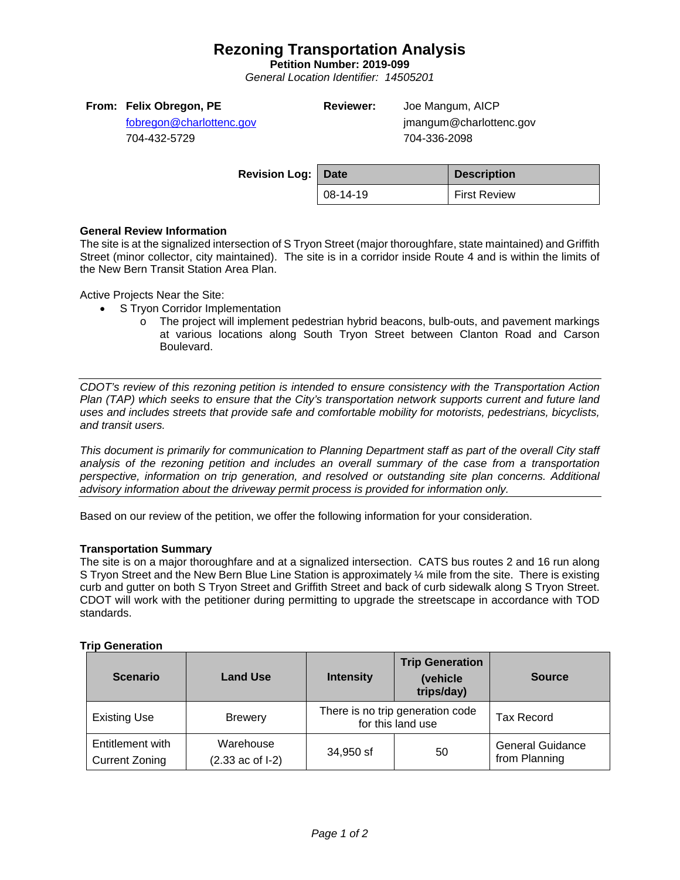## **Rezoning Transportation Analysis**

**Petition Number: 2019-099**

*General Location Identifier: 14505201*

| From: Felix Obregon, PE  | <b>Reviewer:</b> | Joe Mangum, AICP        |
|--------------------------|------------------|-------------------------|
| fobregon@charlottenc.gov |                  | jmangum@charlottenc.gov |
| 704-432-5729             |                  | 704-336-2098            |

| <b>Revision Log: Date</b> |          | <b>Description</b> |
|---------------------------|----------|--------------------|
|                           | 08-14-19 | First Review       |
|                           |          |                    |

### **General Review Information**

The site is at the signalized intersection of S Tryon Street (major thoroughfare, state maintained) and Griffith Street (minor collector, city maintained). The site is in a corridor inside Route 4 and is within the limits of the New Bern Transit Station Area Plan.

Active Projects Near the Site:

- S Tryon Corridor Implementation
	- o The project will implement pedestrian hybrid beacons, bulb-outs, and pavement markings at various locations along South Tryon Street between Clanton Road and Carson Boulevard.

*CDOT's review of this rezoning petition is intended to ensure consistency with the Transportation Action Plan (TAP) which seeks to ensure that the City's transportation network supports current and future land uses and includes streets that provide safe and comfortable mobility for motorists, pedestrians, bicyclists, and transit users.*

*This document is primarily for communication to Planning Department staff as part of the overall City staff analysis of the rezoning petition and includes an overall summary of the case from a transportation perspective, information on trip generation, and resolved or outstanding site plan concerns. Additional advisory information about the driveway permit process is provided for information only.*

Based on our review of the petition, we offer the following information for your consideration.

#### **Transportation Summary**

The site is on a major thoroughfare and at a signalized intersection. CATS bus routes 2 and 16 run along S Tryon Street and the New Bern Blue Line Station is approximately 1/4 mile from the site. There is existing curb and gutter on both S Tryon Street and Griffith Street and back of curb sidewalk along S Tryon Street. CDOT will work with the petitioner during permitting to upgrade the streetscape in accordance with TOD standards.

### **Trip Generation**

| <b>Scenario</b>                                                                                | <b>Land Use</b>                         | <b>Intensity</b> | <b>Trip Generation</b><br>(vehicle<br>trips/day) | <b>Source</b>                            |
|------------------------------------------------------------------------------------------------|-----------------------------------------|------------------|--------------------------------------------------|------------------------------------------|
| There is no trip generation code<br><b>Existing Use</b><br><b>Brewery</b><br>for this land use |                                         |                  | <b>Tax Record</b>                                |                                          |
| Entitlement with<br><b>Current Zoning</b>                                                      | Warehouse<br>$(2.33 \text{ ac of } -1)$ | 34,950 sf        | 50                                               | <b>General Guidance</b><br>from Planning |